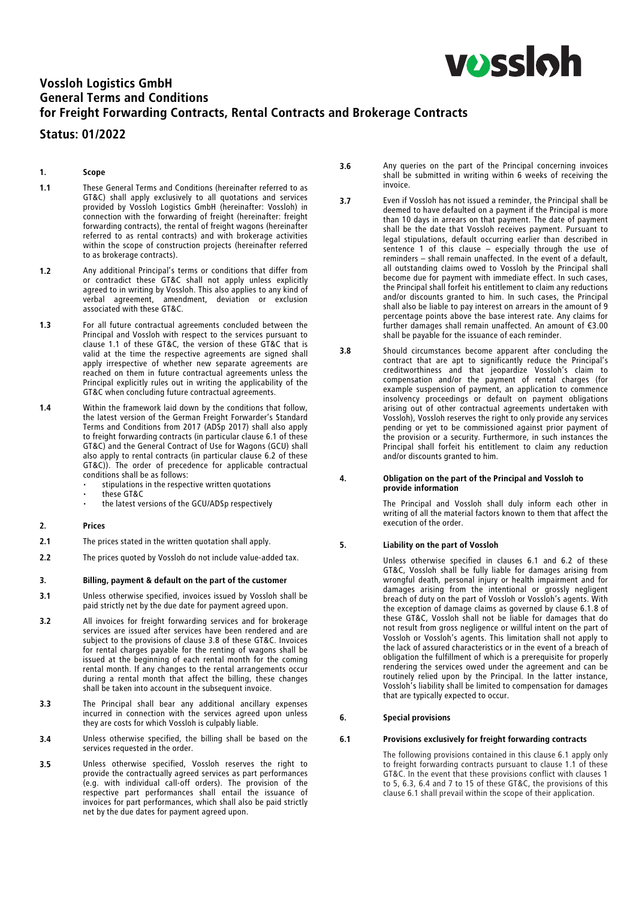

# Vossloh Logistics GmbH General Terms and Conditions for Freight Forwarding Contracts, Rental Contracts and Brokerage Contracts

# Status: 01/2022

# 1. Scope

- 1.1 These General Terms and Conditions (hereinafter referred to as GT&C) shall apply exclusively to all quotations and services<br>provided by Vossloh Logistics GmbH (hereinafter: Vossloh) in provided by Vossloh Logistics GmbH (hereinafter: Vossloh) in connection with the forwarding of freight (hereinafter: freight forwarding contracts), the rental of freight wagons (hereinafter referred to as rental contracts) and with brokerage activities within the scope of construction projects (hereinafter referred to as brokerage contracts).
- 1.2 Any additional Principal's terms or conditions that differ from or contradict these GT&C shall not apply unless explicitly agreed to in writing by Vossloh. This also applies to any kind of verbal agreement, amendment, deviation or exclusion associated with these GT&C.
- 1.3 For all future contractual agreements concluded between the Principal and Vossloh with respect to the services pursuant to clause 1.1 of these GT&C, the version of these GT&C that is valid at the time the respective agreements are signed shall apply irrespective of whether new separate agreements are reached on them in future contractual agreements unless the Principal explicitly rules out in writing the applicability of the GT&C when concluding future contractual agreements.
- 1.4 Within the framework laid down by the conditions that follow, the latest version of the German Freight Forwarder's Standard Terms and Conditions from 2017 (ADSp 2017) shall also apply to freight forwarding contracts (in particular clause 6.1 of these GT&C) and the General Contract of Use for Wagons (GCU) shall also apply to rental contracts (in particular clause 6.2 of these GT&C)). The order of precedence for applicable contractual conditions shall be as follows:
	- stipulations in the respective written quotations
	- these GT&C
	- the latest versions of the GCU/ADSp respectively

# 2. Prices

- 2.1 The prices stated in the written quotation shall apply.
- 2.2 The prices quoted by Vossloh do not include value-added tax.

# 3. Billing, payment & default on the part of the customer

- 3.1 Unless otherwise specified, invoices issued by Vossloh shall be paid strictly net by the due date for payment agreed upon.
- 3.2 All invoices for freight forwarding services and for brokerage services are issued after services have been rendered and are subject to the provisions of clause 3.8 of these GT&C. Invoices for rental charges payable for the renting of wagons shall be issued at the beginning of each rental month for the coming rental month. If any changes to the rental arrangements occur during a rental month that affect the billing, these changes shall be taken into account in the subsequent invoice.
- 3.3 The Principal shall bear any additional ancillary expenses incurred in connection with the services agreed upon unless they are costs for which Vossloh is culpably liable.
- 3.4 Unless otherwise specified, the billing shall be based on the services requested in the order.
- 3.5 Unless otherwise specified, Vossloh reserves the right to provide the contractually agreed services as part performances (e.g. with individual call-off orders). The provision of the respective part performances shall entail the issuance of invoices for part performances, which shall also be paid strictly net by the due dates for payment agreed upon.
- 3.6 Any queries on the part of the Principal concerning invoices shall be submitted in writing within 6 weeks of receiving the invoice.
- 3.7 Even if Vossloh has not issued a reminder, the Principal shall be deemed to have defaulted on a payment if the Principal is more deemed to have defaulted on a payment if the Principal is more than 10 days in arrears on that payment. The date of payment shall be the date that Vossloh receives payment. Pursuant to legal stipulations, default occurring earlier than described in sentence 1 of this clause – especially through the use of reminders – shall remain unaffected. In the event of a default, all outstanding claims owed to Vossloh by the Principal shall become due for payment with immediate effect. In such cases, the Principal shall forfeit his entitlement to claim any reductions and/or discounts granted to him. In such cases, the Principal shall also be liable to pay interest on arrears in the amount of 9 percentage points above the base interest rate. Any claims for further damages shall remain unaffected. An amount of €3.00 shall be payable for the issuance of each reminder.
- 3.8 Should circumstances become apparent after concluding the contract that are apt to significantly reduce the Principal's creditworthiness and that jeopardize Vossloh's claim to compensation and/or the payment of rental charges (for example suspension of payment, an application to commence insolvency proceedings or default on payment obligations arising out of other contractual agreements undertaken with Vossloh), Vossloh reserves the right to only provide any services pending or yet to be commissioned against prior payment of the provision or a security. Furthermore, in such instances the Principal shall forfeit his entitlement to claim any reduction and/or discounts granted to him.

#### 4. Obligation on the part of the Principal and Vossloh to provide information

The Principal and Vossloh shall duly inform each other in writing of all the material factors known to them that affect the execution of the order.

# 5. Liability on the part of Vossloh

Unless otherwise specified in clauses 6.1 and 6.2 of these GT&C, Vossloh shall be fully liable for damages arising from wrongful death, personal injury or health impairment and for damages arising from the intentional or grossly negligent breach of duty on the part of Vossloh or Vossloh's agents. With the exception of damage claims as governed by clause 6.1.8 of these GT&C, Vossloh shall not be liable for damages that do not result from gross negligence or willful intent on the part of Vossloh or Vossloh's agents. This limitation shall not apply to the lack of assured characteristics or in the event of a breach of obligation the fulfillment of which is a prerequisite for properly rendering the services owed under the agreement and can be routinely relied upon by the Principal. In the latter instance, Vossloh's liability shall be limited to compensation for damages that are typically expected to occur.

# 6. Special provisions

# 6.1 Provisions exclusively for freight forwarding contracts

The following provisions contained in this clause 6.1 apply only to freight forwarding contracts pursuant to clause 1.1 of these GT&C. In the event that these provisions conflict with clauses 1 to 5, 6.3, 6.4 and 7 to 15 of these GT&C, the provisions of this clause 6.1 shall prevail within the scope of their application.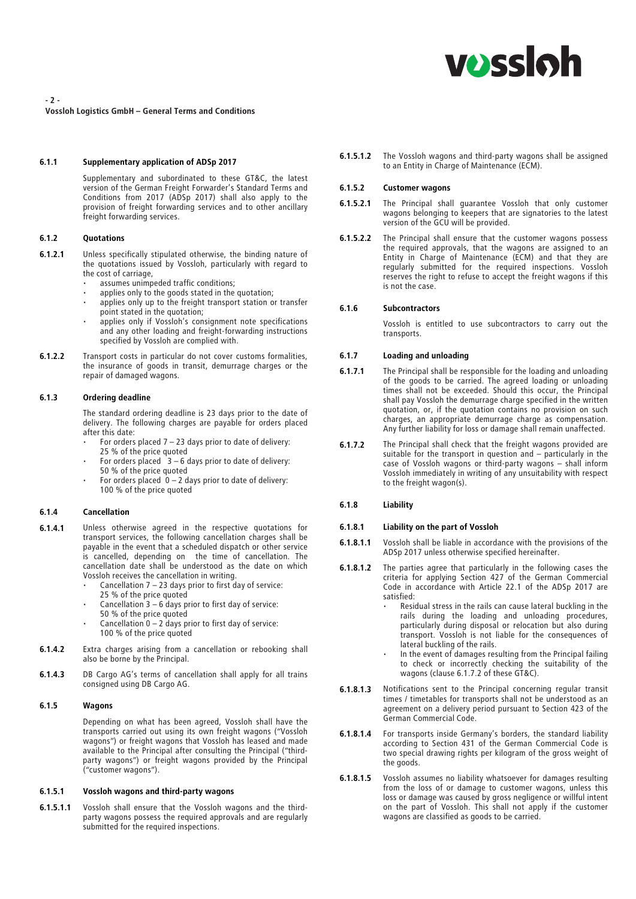

Vossloh Logistics GmbH – General Terms and Conditions

# 6.1.1 Supplementary application of ADSp 2017

Supplementary and subordinated to these GT&C, the latest version of the German Freight Forwarder's Standard Terms and Conditions from 2017 (ADSp 2017) shall also apply to the provision of freight forwarding services and to other ancillary freight forwarding services.

#### 6.1.2 Quotations

- 6.1.2.1 Unless specifically stipulated otherwise, the binding nature of the quotations issued by Vossloh, particularly with regard to the cost of carriage,
	- assumes unimpeded traffic conditions;
	- applies only to the goods stated in the quotation;
	- applies only up to the freight transport station or transfer point stated in the quotation;
	- applies only if Vossloh's consignment note specifications and any other loading and freight-forwarding instructions specified by Vossloh are complied with.
- 6.1.2.2 Transport costs in particular do not cover customs formalities, the insurance of goods in transit, demurrage charges or the repair of damaged wagons.

#### 6.1.3 Ordering deadline

The standard ordering deadline is 23 days prior to the date of delivery. The following charges are payable for orders placed after this date:

- For orders placed  $7 23$  days prior to date of delivery: 25 % of the price quoted
- For orders placed  $3 6$  days prior to date of delivery: 50 % of the price quoted
- For orders placed  $0 2$  days prior to date of delivery: 100 % of the price quoted

# 6.1.4 Cancellation

- 6.1.4.1 Unless otherwise agreed in the respective quotations for transport services, the following cancellation charges shall be payable in the event that a scheduled dispatch or other service is cancelled, depending on the time of cancellation. The cancellation date shall be understood as the date on which Vossloh receives the cancellation in writing.
	- Cancellation  $7 23$  days prior to first day of service: 25 % of the price quoted
	- Cancellation  $3 6$  days prior to first day of service: 50 % of the price quoted
	- Cancellation  $0 2$  days prior to first day of service: 100 % of the price quoted
- **6.1.4.2** Extra charges arising from a cancellation or rebooking shall also be borne by the Principal.
- 6.1.4.3 DB Cargo AG's terms of cancellation shall apply for all trains consigned using DB Cargo AG.

# 6.1.5 Wagons

Depending on what has been agreed, Vossloh shall have the transports carried out using its own freight wagons ("Vossloh wagons") or freight wagons that Vossloh has leased and made available to the Principal after consulting the Principal ("thirdparty wagons") or freight wagons provided by the Principal ("customer wagons").

# 6.1.5.1 Vossloh wagons and third-party wagons

6.1.5.1.1 Vossloh shall ensure that the Vossloh wagons and the thirdparty wagons possess the required approvals and are regularly submitted for the required inspections.

6.1.5.1.2 The Vossloh wagons and third-party wagons shall be assigned to an Entity in Charge of Maintenance (ECM).

#### 6.1.5.2 Customer wagons

- 6.1.5.2.1 The Principal shall guarantee Vossloh that only customer wagons belonging to keepers that are signatories to the latest version of the GCU will be provided.
- **6.1.5.2.2** The Principal shall ensure that the customer wagons possess the required approvals, that the wagons are assigned to an Entity in Charge of Maintenance (ECM) and that they are regularly submitted for the required inspections. Vossloh reserves the right to refuse to accept the freight wagons if this is not the case.

### 6.1.6 Subcontractors

Vossloh is entitled to use subcontractors to carry out the transports.

#### 6.1.7 Loading and unloading

- 6.1.7.1 The Principal shall be responsible for the loading and unloading of the goods to be carried. The agreed loading or unloading times shall not be exceeded. Should this occur, the Principal shall pay Vossloh the demurrage charge specified in the written quotation, or, if the quotation contains no provision on such charges, an appropriate demurrage charge as compensation. Any further liability for loss or damage shall remain unaffected.
- **6.1.7.2** The Principal shall check that the freight wagons provided are suitable for the transport in question and – particularly in the case of Vossloh wagons or third-party wagons – shall inform Vossloh immediately in writing of any unsuitability with respect to the freight wagon(s).

#### 6.1.8 Liability

#### 6.1.8.1 Liability on the part of Vossloh

- **6.1.8.1.1** Vossloh shall be liable in accordance with the provisions of the ADSp 2017 unless otherwise specified hereinafter.
- 6.1.8.1.2 The parties agree that particularly in the following cases the criteria for applying Section 427 of the German Commercial Code in accordance with Article 22.1 of the ADSp 2017 are satisfied:
	- Residual stress in the rails can cause lateral buckling in the rails during the loading and unloading procedures, particularly during disposal or relocation but also during transport. Vossloh is not liable for the consequences of lateral buckling of the rails.
	- In the event of damages resulting from the Principal failing to check or incorrectly checking the suitability of the wagons (clause 6.1.7.2 of these GT&C).
- 6.1.8.1.3 Notifications sent to the Principal concerning regular transit times / timetables for transports shall not be understood as an agreement on a delivery period pursuant to Section 423 of the German Commercial Code.
- **6.1.8.1.4** For transports inside Germany's borders, the standard liability according to Section 431 of the German Commercial Code is two special drawing rights per kilogram of the gross weight of the goods.
- 6.1.8.1.5 Vossloh assumes no liability whatsoever for damages resulting from the loss of or damage to customer wagons, unless this loss or damage was caused by gross negligence or willful intent on the part of Vossloh. This shall not apply if the customer wagons are classified as goods to be carried.

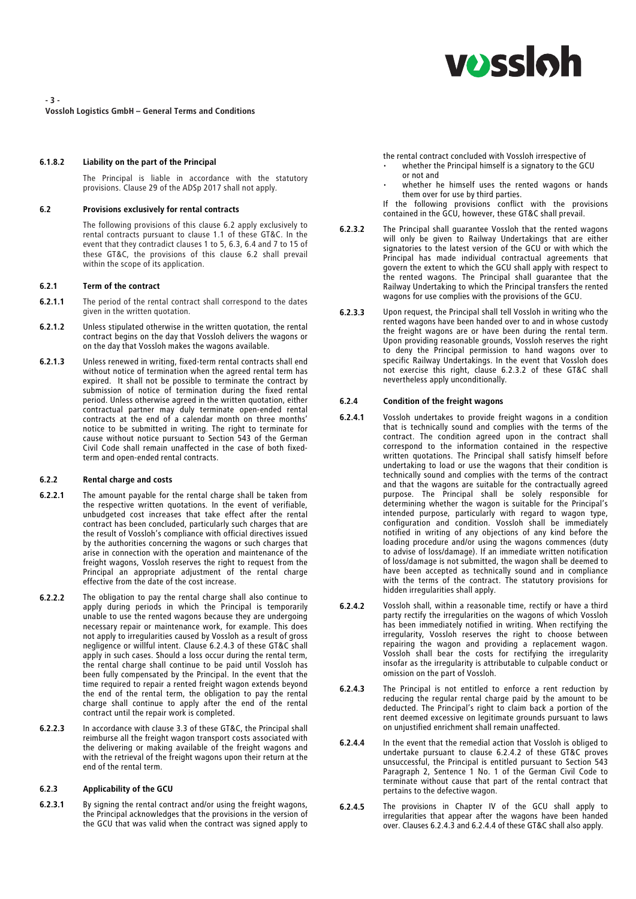- 3 -

Vossloh Logistics GmbH – General Terms and Conditions

# 6.1.8.2 Liability on the part of the Principal

The Principal is liable in accordance with the statutory provisions. Clause 29 of the ADSp 2017 shall not apply.

#### 6.2 Provisions exclusively for rental contracts

The following provisions of this clause 6.2 apply exclusively to rental contracts pursuant to clause 1.1 of these GT&C. In the event that they contradict clauses 1 to 5, 6.3, 6.4 and 7 to 15 of these GT&C, the provisions of this clause 6.2 shall prevail within the scope of its application.

# 6.2.1 Term of the contract

- **6.2.1.1** The period of the rental contract shall correspond to the dates given in the written quotation.
- 6.2.1.2 Unless stipulated otherwise in the written quotation, the rental contract begins on the day that Vossloh delivers the wagons or on the day that Vossloh makes the wagons available.
- 6.2.1.3 Unless renewed in writing, fixed-term rental contracts shall end without notice of termination when the agreed rental term has expired. It shall not be possible to terminate the contract by submission of notice of termination during the fixed rental period. Unless otherwise agreed in the written quotation, either contractual partner may duly terminate open-ended rental contracts at the end of a calendar month on three months' notice to be submitted in writing. The right to terminate for cause without notice pursuant to Section 543 of the German Civil Code shall remain unaffected in the case of both fixedterm and open-ended rental contracts.

#### 6.2.2 Rental charge and costs

- **6.2.2.1** The amount payable for the rental charge shall be taken from the respective written quotations. In the event of verifiable, unbudgeted cost increases that take effect after the rental contract has been concluded, particularly such charges that are the result of Vossloh's compliance with official directives issued by the authorities concerning the wagons or such charges that arise in connection with the operation and maintenance of the freight wagons, Vossloh reserves the right to request from the Principal an appropriate adjustment of the rental charge effective from the date of the cost increase.
- 6.2.2.2 The obligation to pay the rental charge shall also continue to apply during periods in which the Principal is temporarily unable to use the rented wagons because they are undergoing necessary repair or maintenance work, for example. This does not apply to irregularities caused by Vossloh as a result of gross negligence or willful intent. Clause 6.2.4.3 of these GT&C shall apply in such cases. Should a loss occur during the rental term, the rental charge shall continue to be paid until Vossloh has been fully compensated by the Principal. In the event that the time required to repair a rented freight wagon extends beyond the end of the rental term, the obligation to pay the rental charge shall continue to apply after the end of the rental contract until the repair work is completed.
- 6.2.2.3 In accordance with clause 3.3 of these GT&C, the Principal shall reimburse all the freight wagon transport costs associated with the delivering or making available of the freight wagons and with the retrieval of the freight wagons upon their return at the end of the rental term.

# 6.2.3 Applicability of the GCU

6.2.3.1 By signing the rental contract and/or using the freight wagons, the Principal acknowledges that the provisions in the version of the GCU that was valid when the contract was signed apply to the rental contract concluded with Vossloh irrespective of

- whether the Principal himself is a signatory to the GCU or not and
- whether he himself uses the rented wagons or hands<br>them over for use by third parties. them over for use by third parties.
- If the following provisions conflict with the provisions contained in the GCU, however, these GT&C shall prevail.
- 6.2.3.2 The Principal shall guarantee Vossloh that the rented wagons will only be given to Railway Undertakings that are either signatories to the latest version of the GCU or with which the Principal has made individual contractual agreements that Principal has made individual contractual agreements that govern the extent to which the GCU shall apply with respect to the rented wagons. The Principal shall guarantee that the Railway Undertaking to which the Principal transfers the rented wagons for use complies with the provisions of the GCU.
- 6.2.3.3 Upon request, the Principal shall tell Vossloh in writing who the rented wagons have been handed over to and in whose custody the freight wagons are or have been during the rental term. Upon providing reasonable grounds, Vossloh reserves the right to deny the Principal permission to hand wagons over to specific Railway Undertakings. In the event that Vossloh does not exercise this right, clause 6.2.3.2 of these GT&C shall nevertheless apply unconditionally.

# 6.2.4 Condition of the freight wagons

- 6.2.4.1 Vossloh undertakes to provide freight wagons in a condition that is technically sound and complies with the terms of the contract. The condition agreed upon in the contract shall correspond to the information contained in the respective written quotations. The Principal shall satisfy himself before undertaking to load or use the wagons that their condition is technically sound and complies with the terms of the contract and that the wagons are suitable for the contractually agreed purpose. The Principal shall be solely responsible for determining whether the wagon is suitable for the Principal's intended purpose, particularly with regard to wagon type, configuration and condition. Vossloh shall be immediately notified in writing of any objections of any kind before the loading procedure and/or using the wagons commences (duty to advise of loss/damage). If an immediate written notification of loss/damage is not submitted, the wagon shall be deemed to have been accepted as technically sound and in compliance with the terms of the contract. The statutory provisions for hidden irregularities shall apply.
- 6.2.4.2 Vossloh shall, within a reasonable time, rectify or have a third party rectify the irregularities on the wagons of which Vossloh has been immediately notified in writing. When rectifying the irregularity, Vossloh reserves the right to choose between repairing the wagon and providing a replacement wagon. Vossloh shall bear the costs for rectifying the irregularity insofar as the irregularity is attributable to culpable conduct or omission on the part of Vossloh.
- 6.2.4.3 The Principal is not entitled to enforce a rent reduction by reducing the regular rental charge paid by the amount to be deducted. The Principal's right to claim back a portion of the rent deemed excessive on legitimate grounds pursuant to laws on unjustified enrichment shall remain unaffected.
- 6.2.4.4 In the event that the remedial action that Vossloh is obliged to undertake pursuant to clause 6.2.4.2 of these GT&C proves unsuccessful, the Principal is entitled pursuant to Section 543 Paragraph 2, Sentence 1 No. 1 of the German Civil Code to terminate without cause that part of the rental contract that pertains to the defective wagon.
- 6.2.4.5 The provisions in Chapter IV of the GCU shall apply to irregularities that appear after the wagons have been handed over. Clauses 6.2.4.3 and 6.2.4.4 of these GT&C shall also apply.

# **vossloh**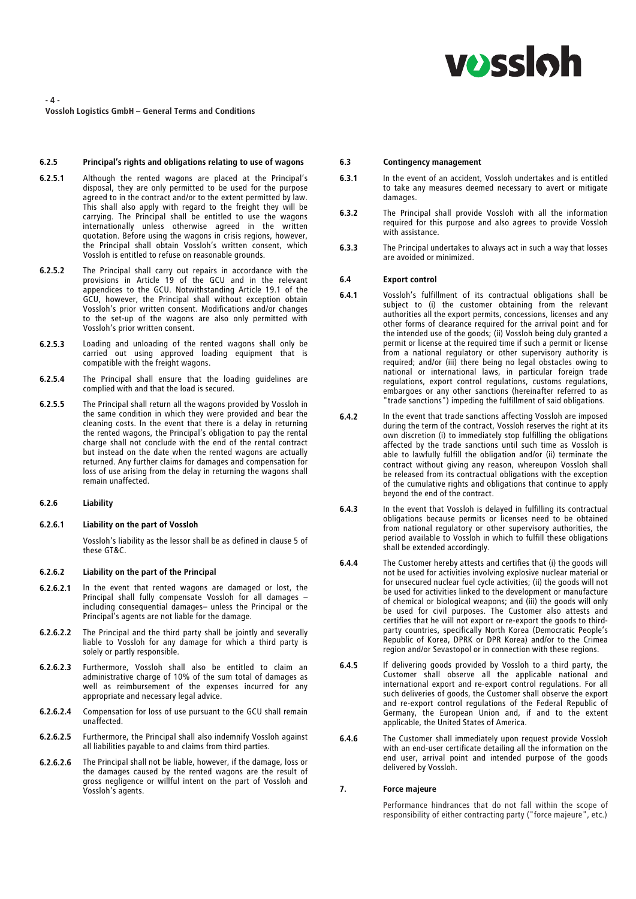

- 4 -

Vossloh Logistics GmbH – General Terms and Conditions

#### 6.2.5 Principal's rights and obligations relating to use of wagons

- 6.2.5.1 Although the rented wagons are placed at the Principal's disposal, they are only permitted to be used for the purpose agreed to in the contract and/or to the extent permitted by law.<br>This shall also apply with regard to the freight they will be This shall also apply with regard to the freight they will be carrying. The Principal shall be entitled to use the wagons internationally unless otherwise agreed in the written quotation. Before using the wagons in crisis regions, however, the Principal shall obtain Vossloh's written consent, which Vossloh is entitled to refuse on reasonable grounds.
- 6.2.5.2 The Principal shall carry out repairs in accordance with the provisions in Article 19 of the GCU and in the relevant appendices to the GCU. Notwithstanding Article 19.1 of the GCU, however, the Principal shall without exception obtain Vossloh's prior written consent. Modifications and/or changes to the set-up of the wagons are also only permitted with Vossloh's prior written consent.
- 6.2.5.3 Loading and unloading of the rented wagons shall only be carried out using approved loading equipment that is compatible with the freight wagons.
- 6.2.5.4 The Principal shall ensure that the loading guidelines are complied with and that the load is secured.
- 6.2.5.5 The Principal shall return all the wagons provided by Vossloh in the same condition in which they were provided and bear the cleaning costs. In the event that there is a delay in returning the rented wagons, the Principal's obligation to pay the rental charge shall not conclude with the end of the rental contract but instead on the date when the rented wagons are actually returned. Any further claims for damages and compensation for loss of use arising from the delay in returning the wagons shall remain unaffected.

#### 6.2.6 Liability

# 6.2.6.1 Liability on the part of Vossloh

Vossloh's liability as the lessor shall be as defined in clause 5 of these GT&C.

# 6.2.6.2 Liability on the part of the Principal

- 6.2.6.2.1 In the event that rented wagons are damaged or lost, the Principal shall fully compensate Vossloh for all damages including consequential damages– unless the Principal or the Principal's agents are not liable for the damage.
- 6.2.6.2.2 The Principal and the third party shall be jointly and severally liable to Vossloh for any damage for which a third party is solely or partly responsible.
- 6.2.6.2.3 Furthermore, Vossloh shall also be entitled to claim an administrative charge of 10% of the sum total of damages as well as reimbursement of the expenses incurred for any appropriate and necessary legal advice.
- 6.2.6.2.4 Compensation for loss of use pursuant to the GCU shall remain unaffected.
- 6.2.6.2.5 Furthermore, the Principal shall also indemnify Vossloh against all liabilities payable to and claims from third parties.
- 6.2.6.2.6 The Principal shall not be liable, however, if the damage, loss or the damages caused by the rented wagons are the result of gross negligence or willful intent on the part of Vossloh and Vossloh's agents.

# 6.3 Contingency management

- 6.3.1 In the event of an accident, Vossloh undertakes and is entitled to take any measures deemed necessary to avert or mitigate damages.
- 6.3.2 The Principal shall provide Vossloh with all the information required for this purpose and also agrees to provide Vossloh with assistance.
- 6.3.3 The Principal undertakes to always act in such a way that losses are avoided or minimized.

# 6.4 Export control

- 6.4.1 Vossloh's fulfillment of its contractual obligations shall be subject to (i) the customer obtaining from the relevant authorities all the export permits, concessions, licenses and any other forms of clearance required for the arrival point and for the intended use of the goods; (ii) Vossloh being duly granted a permit or license at the required time if such a permit or license from a national regulatory or other supervisory authority is required; and/or (iii) there being no legal obstacles owing to national or international laws, in particular foreign trade national or international laws, in particular foreign trade<br>requlations, export control requlations, customs requlations, regulations, export control regulations, customs regulations, embargoes or any other sanctions (hereinafter referred to as "trade sanctions") impeding the fulfillment of said obligations.
- 6.4.2 In the event that trade sanctions affecting Vossloh are imposed during the term of the contract, Vossloh reserves the right at its own discretion (i) to immediately stop fulfilling the obligations affected by the trade sanctions until such time as Vossloh is able to lawfully fulfill the obligation and/or (ii) terminate the contract without giving any reason, whereupon Vossloh shall be released from its contractual obligations with the exception of the cumulative rights and obligations that continue to apply beyond the end of the contract.
- 6.4.3 In the event that Vossloh is delayed in fulfilling its contractual obligations because permits or licenses need to be obtained from national regulatory or other supervisory authorities, the period available to Vossloh in which to fulfill these obligations shall be extended accordingly.
- 6.4.4 The Customer hereby attests and certifies that (i) the goods will not be used for activities involving explosive nuclear material or for unsecured nuclear fuel cycle activities; (ii) the goods will not be used for activities linked to the development or manufacture of chemical or biological weapons; and (iii) the goods will only be used for civil purposes. The Customer also attests and certifies that he will not export or re-export the goods to thirdparty countries, specifically North Korea (Democratic People's Republic of Korea, DPRK or DPR Korea) and/or to the Crimea region and/or Sevastopol or in connection with these regions.
- 6.4.5 If delivering goods provided by Vossloh to a third party, the Customer shall observe all the applicable national and international export and re-export control regulations. For all such deliveries of goods, the Customer shall observe the export and re-export control regulations of the Federal Republic of Germany, the European Union and, if and to the extent applicable, the United States of America.
- 6.4.6 The Customer shall immediately upon request provide Vossloh with an end-user certificate detailing all the information on the end user, arrival point and intended purpose of the goods delivered by Vossloh.

# 7. Force majeure

Performance hindrances that do not fall within the scope of responsibility of either contracting party ("force majeure", etc.)